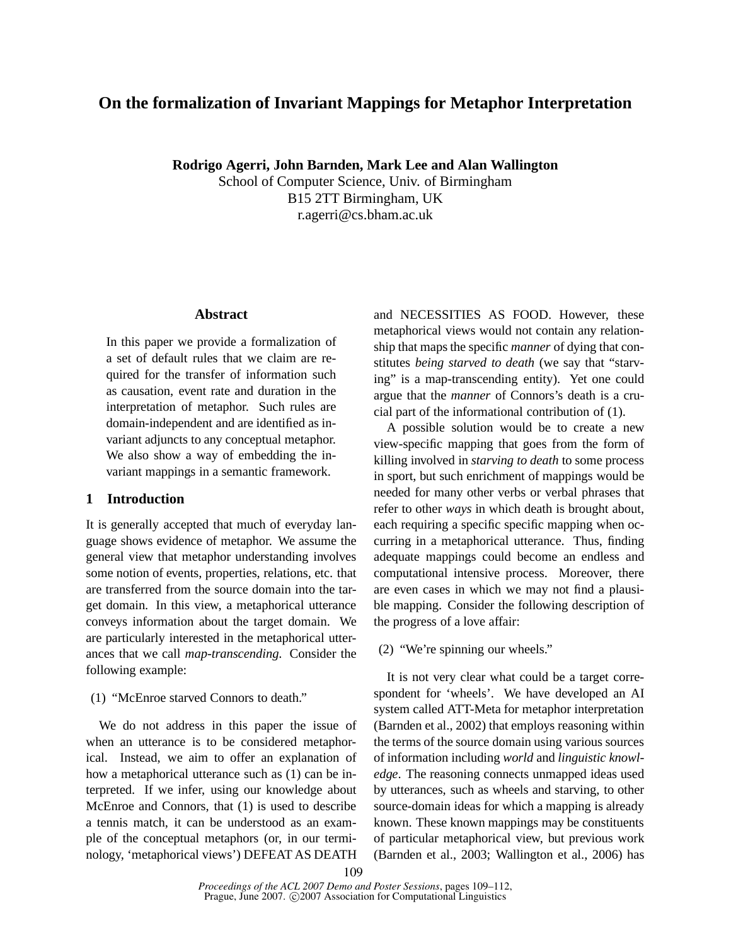# **On the formalization of Invariant Mappings for Metaphor Interpretation**

**Rodrigo Agerri, John Barnden, Mark Lee and Alan Wallington**

School of Computer Science, Univ. of Birmingham B15 2TT Birmingham, UK r.agerri@cs.bham.ac.uk

## **Abstract**

In this paper we provide a formalization of a set of default rules that we claim are required for the transfer of information such as causation, event rate and duration in the interpretation of metaphor. Such rules are domain-independent and are identified as invariant adjuncts to any conceptual metaphor. We also show a way of embedding the invariant mappings in a semantic framework.

## **1 Introduction**

It is generally accepted that much of everyday language shows evidence of metaphor. We assume the general view that metaphor understanding involves some notion of events, properties, relations, etc. that are transferred from the source domain into the target domain. In this view, a metaphorical utterance conveys information about the target domain. We are particularly interested in the metaphorical utterances that we call *map-transcending*. Consider the following example:

(1) "McEnroe starved Connors to death."

We do not address in this paper the issue of when an utterance is to be considered metaphorical. Instead, we aim to offer an explanation of how a metaphorical utterance such as (1) can be interpreted. If we infer, using our knowledge about McEnroe and Connors, that (1) is used to describe a tennis match, it can be understood as an example of the conceptual metaphors (or, in our terminology, 'metaphorical views') DEFEAT AS DEATH and NECESSITIES AS FOOD. However, these metaphorical views would not contain any relationship that maps the specific *manner* of dying that constitutes *being starved to death* (we say that "starving" is a map-transcending entity). Yet one could argue that the *manner* of Connors's death is a crucial part of the informational contribution of (1).

A possible solution would be to create a new view-specific mapping that goes from the form of killing involved in *starving to death* to some process in sport, but such enrichment of mappings would be needed for many other verbs or verbal phrases that refer to other *ways* in which death is brought about, each requiring a specific specific mapping when occurring in a metaphorical utterance. Thus, finding adequate mappings could become an endless and computational intensive process. Moreover, there are even cases in which we may not find a plausible mapping. Consider the following description of the progress of a love affair:

(2) "We're spinning our wheels."

It is not very clear what could be a target correspondent for 'wheels'. We have developed an AI system called ATT-Meta for metaphor interpretation (Barnden et al., 2002) that employs reasoning within the terms of the source domain using various sources of information including *world* and *linguistic knowledge*. The reasoning connects unmapped ideas used by utterances, such as wheels and starving, to other source-domain ideas for which a mapping is already known. These known mappings may be constituents of particular metaphorical view, but previous work (Barnden et al., 2003; Wallington et al., 2006) has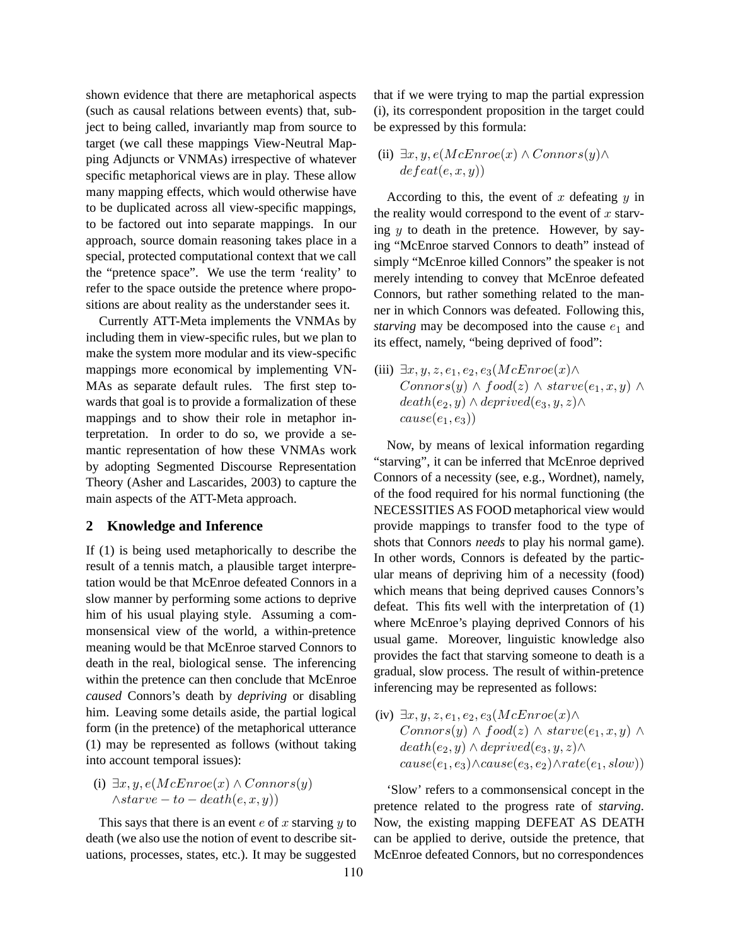shown evidence that there are metaphorical aspects (such as causal relations between events) that, subject to being called, invariantly map from source to target (we call these mappings View-Neutral Mapping Adjuncts or VNMAs) irrespective of whatever specific metaphorical views are in play. These allow many mapping effects, which would otherwise have to be duplicated across all view-specific mappings, to be factored out into separate mappings. In our approach, source domain reasoning takes place in a special, protected computational context that we call the "pretence space". We use the term 'reality' to refer to the space outside the pretence where propositions are about reality as the understander sees it.

Currently ATT-Meta implements the VNMAs by including them in view-specific rules, but we plan to make the system more modular and its view-specific mappings more economical by implementing VN-MAs as separate default rules. The first step towards that goal is to provide a formalization of these mappings and to show their role in metaphor interpretation. In order to do so, we provide a semantic representation of how these VNMAs work by adopting Segmented Discourse Representation Theory (Asher and Lascarides, 2003) to capture the main aspects of the ATT-Meta approach.

#### **2 Knowledge and Inference**

If (1) is being used metaphorically to describe the result of a tennis match, a plausible target interpretation would be that McEnroe defeated Connors in a slow manner by performing some actions to deprive him of his usual playing style. Assuming a commonsensical view of the world, a within-pretence meaning would be that McEnroe starved Connors to death in the real, biological sense. The inferencing within the pretence can then conclude that McEnroe *caused* Connors's death by *depriving* or disabling him. Leaving some details aside, the partial logical form (in the pretence) of the metaphorical utterance (1) may be represented as follows (without taking into account temporal issues):

(i)  $\exists x, y, e(McEnroe(x) \wedge Connors(y))$  $\wedge$ starve – to – death $(e, x, y)$ 

This says that there is an event  $e$  of  $x$  starving  $y$  to death (we also use the notion of event to describe situations, processes, states, etc.). It may be suggested that if we were trying to map the partial expression (i), its correspondent proposition in the target could be expressed by this formula:

(ii)  $\exists x, y, e(McEnroe(x) \land Connors(y) \land$  $defeat(e, x, y))$ 

According to this, the event of  $x$  defeating  $y$  in the reality would correspond to the event of  $x$  starving  $y$  to death in the pretence. However, by saying "McEnroe starved Connors to death" instead of simply "McEnroe killed Connors" the speaker is not merely intending to convey that McEnroe defeated Connors, but rather something related to the manner in which Connors was defeated. Following this, *starving* may be decomposed into the cause  $e_1$  and its effect, namely, "being deprived of food":

(iii)  $\exists x, y, z, e_1, e_2, e_3(McEnroe(x) \wedge$  $Connors(y) \wedge food(z) \wedge starve(e_1, x, y) \wedge$  $death(e_2, y) \wedge deprived(e_3, y, z) \wedge$  $cause(e_1, e_3))$ 

Now, by means of lexical information regarding "starving", it can be inferred that McEnroe deprived Connors of a necessity (see, e.g., Wordnet), namely, of the food required for his normal functioning (the NECESSITIES AS FOOD metaphorical view would provide mappings to transfer food to the type of shots that Connors *needs* to play his normal game). In other words, Connors is defeated by the particular means of depriving him of a necessity (food) which means that being deprived causes Connors's defeat. This fits well with the interpretation of (1) where McEnroe's playing deprived Connors of his usual game. Moreover, linguistic knowledge also provides the fact that starving someone to death is a gradual, slow process. The result of within-pretence inferencing may be represented as follows:

(iv)  $\exists x, y, z, e_1, e_2, e_3(McEnroe(x) \wedge$  $Connors(y) \wedge food(z) \wedge starve(e_1, x, y) \wedge$  $death(e_2, y) \wedge deprived(e_3, y, z) \wedge$  $cause(e_1, e_3) \land cause(e_3, e_2) \land rate(e_1, slow)$ 

'Slow' refers to a commonsensical concept in the pretence related to the progress rate of *starving*. Now, the existing mapping DEFEAT AS DEATH can be applied to derive, outside the pretence, that McEnroe defeated Connors, but no correspondences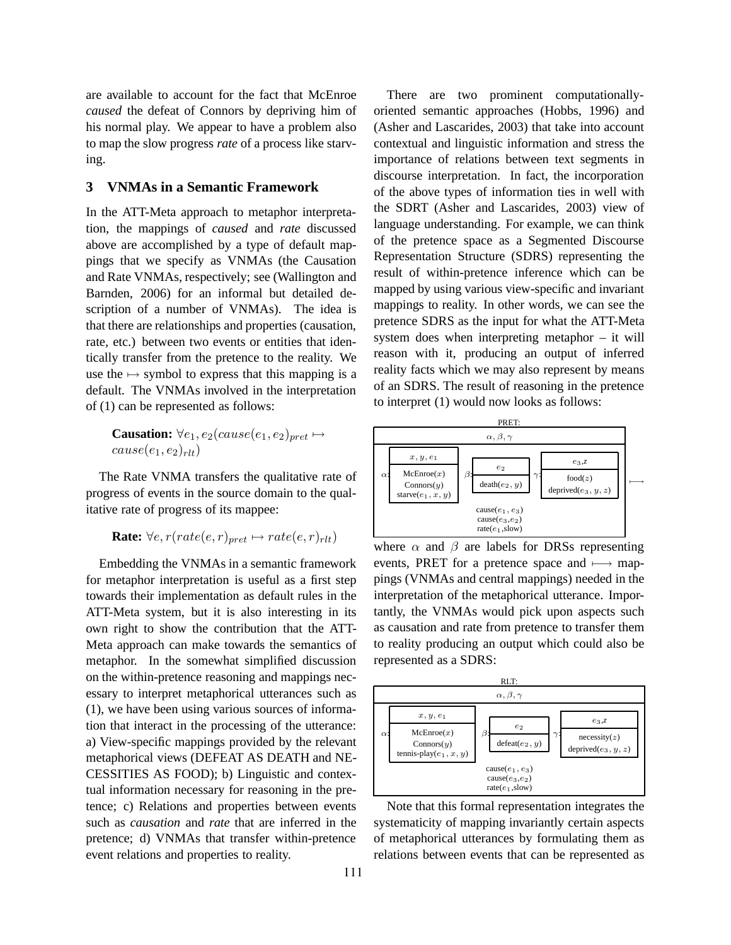are available to account for the fact that McEnroe *caused* the defeat of Connors by depriving him of his normal play. We appear to have a problem also to map the slow progress *rate* of a process like starving.

## **3 VNMAs in a Semantic Framework**

In the ATT-Meta approach to metaphor interpretation, the mappings of *caused* and *rate* discussed above are accomplished by a type of default mappings that we specify as VNMAs (the Causation and Rate VNMAs, respectively; see (Wallington and Barnden, 2006) for an informal but detailed description of a number of VNMAs). The idea is that there are relationships and properties (causation, rate, etc.) between two events or entities that identically transfer from the pretence to the reality. We use the  $\mapsto$  symbol to express that this mapping is a default. The VNMAs involved in the interpretation of (1) can be represented as follows:

**Causation:**  $\forall e_1, e_2 (cause(e_1, e_2)_{pret} \mapsto$  $cause(e_1, e_2)_{rlt})$ 

The Rate VNMA transfers the qualitative rate of progress of events in the source domain to the qualitative rate of progress of its mappee:

$$
Rate: \forall e, r(rate(e, r)_{pret} \mapsto rate(e, r)_{rlt})
$$

Embedding the VNMAs in a semantic framework for metaphor interpretation is useful as a first step towards their implementation as default rules in the ATT-Meta system, but it is also interesting in its own right to show the contribution that the ATT-Meta approach can make towards the semantics of metaphor. In the somewhat simplified discussion on the within-pretence reasoning and mappings necessary to interpret metaphorical utterances such as (1), we have been using various sources of information that interact in the processing of the utterance: a) View-specific mappings provided by the relevant metaphorical views (DEFEAT AS DEATH and NE-CESSITIES AS FOOD); b) Linguistic and contextual information necessary for reasoning in the pretence; c) Relations and properties between events such as *causation* and *rate* that are inferred in the pretence; d) VNMAs that transfer within-pretence event relations and properties to reality.

There are two prominent computationallyoriented semantic approaches (Hobbs, 1996) and (Asher and Lascarides, 2003) that take into account contextual and linguistic information and stress the importance of relations between text segments in discourse interpretation. In fact, the incorporation of the above types of information ties in well with the SDRT (Asher and Lascarides, 2003) view of language understanding. For example, we can think of the pretence space as a Segmented Discourse Representation Structure (SDRS) representing the result of within-pretence inference which can be mapped by using various view-specific and invariant mappings to reality. In other words, we can see the pretence SDRS as the input for what the ATT-Meta system does when interpreting metaphor – it will reason with it, producing an output of inferred reality facts which we may also represent by means of an SDRS. The result of reasoning in the pretence to interpret (1) would now looks as follows:



where  $\alpha$  and  $\beta$  are labels for DRSs representing events, PRET for a pretence space and  $\longmapsto$  mappings (VNMAs and central mappings) needed in the interpretation of the metaphorical utterance. Importantly, the VNMAs would pick upon aspects such as causation and rate from pretence to transfer them to reality producing an output which could also be represented as a SDRS:



Note that this formal representation integrates the systematicity of mapping invariantly certain aspects of metaphorical utterances by formulating them as relations between events that can be represented as